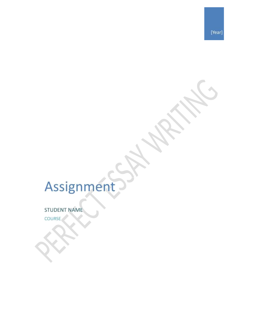# Assignment

STUDENT NAME

COURSE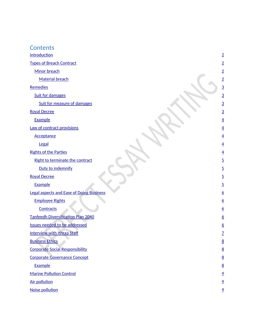#### **Contents**

**[Introduction](#page-3-0)** 

[Types of Breach Contract](#page-3-0)

[Minor breach](#page-3-0)

[Material breach](#page-3-0)

[Remedies](#page-4-0)

[Suit for damages](#page-4-0)

[Suit for measure of damages](#page-4-0)

[Royal Decree](#page-4-0)

**[Example](#page-4-0)** 

[Law of contract provisions](#page-5-0)

[Acceptance](#page-5-0)

**[Legal](#page-5-0)** 

[Rights of the Parties](#page-5-0)

[Right to terminate the contract](#page-5-0)

[Duty to indemnify](#page-6-0)

[Royal Decree](#page-6-0)

**[Example](#page-6-0)** 

[Legal aspects and Ease of Doing Business](#page-6-0)

[Employee Rights](#page-7-0)

**[Contracts](#page-7-0)** 

[Tanfeedh Diversification Plan 2040](#page-7-0)

[Issues needed to be addressed](#page-7-0)

[Interview with Ithraa Staff](#page-8-0)

[Business Ethics](#page-9-0)

[Corporate Social Responsibility](#page-9-0)

[Corporate Governance Concept](#page-9-0)

[Example](#page-9-0)

[Marine Pollution Control](#page-10-0)

[Air pollution](#page-10-0)

[Noise pollution](#page-10-0)

[9](#page-10-0)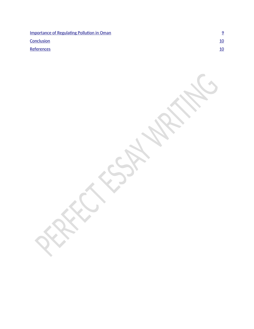[Importance of Regulating Pollution in Oman](#page-10-0)

**[Conclusion](#page-10-0)** [10](#page-10-0)

[References](#page-11-0) and the contract of the contract of the contract of the contract of the contract of the contract of the contract of the contract of the contract of the contract of the contract of the contract of the contract of

[9](#page-10-0)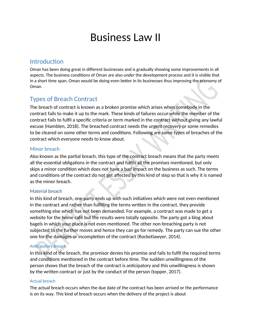## <span id="page-3-0"></span>Business Law II

## **Introduction**

Oman has been doing great in different businesses and is gradually showing some improvements in all aspects. The business conditions of Oman are also under the development process and it is visible that in a short time span, Oman would be doing even better in its businesses thus improving the economy of Oman.

## Types of Breach Contract

The breach of contract is known as a broken promise which arises when somebody in the contract fails to make it up to the mark. These kinds of failures occur while the member of the contract fails to fulfil a specific criteria or term marked in the contract without giving any lawful excuse (Hamblen, 2018). The breached contract needs the urgent recovery or some remedies to be cleared on some other terms and conditions. Following are some types of breaches of the contract which everyone needs to know about.

#### Minor breach

Also known as the partial breach, this type of the contract breach means that the party meets all the essential obligations in the contract and fulfils all the promises mentioned, but only skips a minor condition which does not have a bad impact on the business as such. The terms and conditions of the contract do not get affected by this kind of step so that is why it is named as the minor breach.

#### Material breach

In this kind of breach, one party ends up with such initiatives which were not even mentioned in the contract and rather than fulfilling the terms written in the contract, they provide something else which has not been demanded. For example, a contract was made to get a website for the home café but the results were totally opposite. The party got a blog about bagels in which your place is not even mentioned. The other non-breaching party is not subjected to the further moves and hence they can go for remedy. The party can sue the other one for the damages or incompletion of the contract (Rocketlawyer, 2014).

#### *Anticipatory Breach*

In this kind of the breach, the promisor denies his promise and fails to fulfil the required terms and conditions mentioned in the contract before time. The sudden unwillingness of the person shows that the breach of the contract is anticipatory and this unwillingness is shown by the written contract or just by the conduct of the person (topper, 2017).

#### Actual breach

The actual breach occurs when the due date of the contract has been arrived or the performance is on its way. This kind of breach occurs when the delivery of the project is about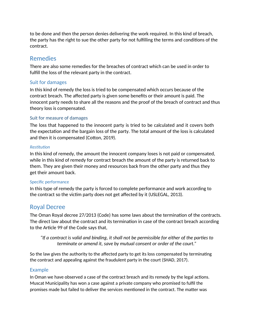<span id="page-4-0"></span>to be done and then the person denies delivering the work required. In this kind of breach, the party has the right to sue the other party for not fulfilling the terms and conditions of the contract.

## Remedies

There are also some remedies for the breaches of contract which can be used in order to fulfill the loss of the relevant party in the contract.

#### Suit for damages

In this kind of remedy the loss is tried to be compensated which occurs because of the contract breach. The affected party is given some benefits or their amount is paid. The innocent party needs to share all the reasons and the proof of the breach of contract and thus theory loss is compensated.

#### Suit for measure of damages

The loss that happened to the innocent party is tried to be calculated and it covers both the expectation and the bargain loss of the party. The total amount of the loss is calculated and then it is compensated (Cotton, 2019).

#### *Restitution*

In this kind of remedy, the amount the innocent company loses is not paid or compensated, while in this kind of remedy for contract breach the amount of the party is returned back to them. They are given their money and resources back from the other party and thus they get their amount back.

#### Specific performance

In this type of remedy the party is forced to complete performance and work according to the contract so the victim party does not get affected by it (USLEGAL, 2013).

## Royal Decree

The Oman Royal decree 27/2013 (Code) has some laws about the termination of the contracts. The direct law about the contract and its termination in case of the contract breach according to the Article 99 of the Code says that,

*"If a contract is valid and binding, it shall not be permissible for either of the parties to terminate or amend it, save by mutual consent or order of the court."*

So the law gives the authority to the affected party to get its loss compensated by terminating the contract and appealing against the fraudulent party in the court (SHAD, 2017).

#### Example

In Oman we have observed a case of the contract breach and its remedy by the legal actions. Muscat Municipality has won a case against a private company who promised to fulfil the promises made but failed to deliver the services mentioned in the contract. The matter was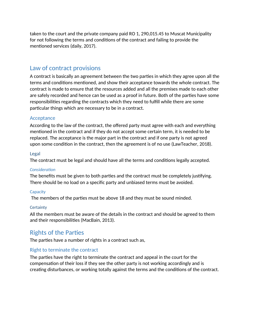<span id="page-5-0"></span>taken to the court and the private company paid RO 1, 290,015.45 to Muscat Municipality for not following the terms and conditions of the contract and failing to provide the mentioned services (daily, 2017).

## Law of contract provisions

A contract is basically an agreement between the two parties in which they agree upon all the terms and conditions mentioned, and show their acceptance towards the whole contract. The contract is made to ensure that the resources added and all the premises made to each other are safely recorded and hence can be used as a proof in future. Both of the parties have some responsibilities regarding the contracts which they need to fulfill while there are some particular things which are necessary to be in a contract.

#### Acceptance

According to the law of the contract, the offered party must agree with each and everything mentioned in the contract and if they do not accept some certain term, it is needed to be replaced. The acceptance is the major part in the contract and if one party is not agreed upon some condition in the contract, then the agreement is of no use (LawTeacher, 2018).

#### Legal

The contract must be legal and should have all the terms and conditions legally accepted.

#### *Consideration*

The benefits must be given to both parties and the contract must be completely justifying. There should be no load on a specific party and unbiased terms must be avoided.

#### **Capacity**

The members of the parties must be above 18 and they must be sound minded.

#### **Certainty**

All the members must be aware of the details in the contract and should be agreed to them and their responsibilities (MacBain, 2013).

## Rights of the Parties

The parties have a number of rights in a contract such as,

#### Right to terminate the contract

The parties have the right to terminate the contract and appeal in the court for the compensation of their loss if they see the other party is not working accordingly and is creating disturbances, or working totally against the terms and the conditions of the contract.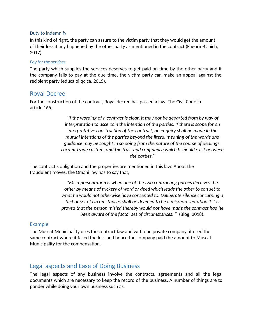#### <span id="page-6-0"></span>Duty to indemnify

In this kind of right, the party can assure to the victim party that they would get the amount of their loss if any happened by the other party as mentioned in the contract (Faeorin-Cruich, 2017).

#### *Pay for the services*

The party which supplies the services deserves to get paid on time by the other party and if the company fails to pay at the due time, the victim party can make an appeal against the recipient party (educaloi.qc.ca, 2015).

#### Royal Decree

For the construction of the contract, Royal decree has passed a law. The Civil Code in article 165,

> *"If the wording of a contract is clear, it may not be departed from by way of interpretation to ascertain the intention of the parties. If there is scope for an interpretative construction of the contract, an enquiry shall be made in the mutual intentions of the parties beyond the literal meaning of the words and guidance may be sought in so doing from the nature of the course of dealings, current trade custom, and the trust and confidence which b should exist between the parties."*

The contract's obligation and the properties are mentioned in this law. About the fraudulent moves, the Omani law has to say that,

> *"Misrepresentation is when one of the two contracting parties deceives the other by means of trickery of word or deed which leads the other to con set to what he would not otherwise have consented to. Deliberate silence concerning a fact or set of circumstances shall be deemed to be a misrepresentation if it is proved that the person misled thereby would not have made the contract had he been aware of the factor set of circumstances. "* (Blog, 2018)*.*

#### Example

The Muscat Municipality uses the contract law and with one private company, it used the same contract where it faced the loss and hence the company paid the amount to Muscat Municipality for the compensation.

### Legal aspects and Ease of Doing Business

The legal aspects of any business involve the contracts, agreements and all the legal documents which are necessary to keep the record of the business. A number of things are to ponder while doing your own business such as,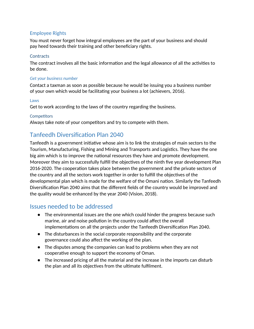#### <span id="page-7-0"></span>Employee Rights

You must never forget how integral employees are the part of your business and should pay heed towards their training and other beneficiary rights.

#### **Contracts**

The contract involves all the basic information and the legal allowance of all the activities to be done.

#### *Get your business number*

Contact a taxman as soon as possible because he would be issuing you a business number of your own which would be facilitating your business a lot (achievers, 2016).

#### Laws

Get to work according to the laws of the country regarding the business.

#### **Competitors**

Always take note of your competitors and try to compete with them.

## Tanfeedh Diversification Plan 2040

Tanfeedh is a government initiative whose aim is to link the strategies of main sectors to the Tourism, Manufacturing, Fishing and Mining and Transports and Logistics. They have the one big aim which is to improve the national resources they have and promote development. Moreover they aim to successfully fulfill the objectives of the ninth five year development Plan 2016-2020. The cooperation takes place between the government and the private sectors of the country and all the sectors work together in order to fulfill the objectives of the developmental plan which is made for the welfare of the Omani nation. Similarly the Tanfeedh Diversification Plan 2040 aims that the different fields of the country would be improved and the quality would be enhanced by the year 2040 (Vision, 2018).

#### Issues needed to be addressed

- The environmental issues are the one which could hinder the progress because such marine, air and noise pollution in the country could affect the overall implementations on all the projects under the Tanfeedh Diversification Plan 2040.
- The disturbances in the social corporate responsibility and the corporate governance could also affect the working of the plan.
- The disputes among the companies can lead to problems when they are not cooperative enough to support the economy of Oman.
- The increased pricing of all the material and the increase in the imports can disturb the plan and all its objectives from the ultimate fulfilment.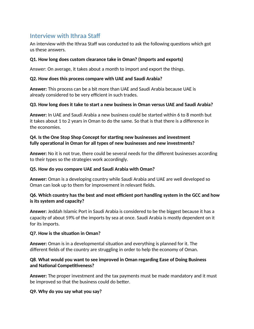## <span id="page-8-0"></span>Interview with Ithraa Staff

An interview with the Ithraa Staff was conducted to ask the following questions which got us these answers.

#### **Q1. How long does custom clearance take in Oman? (Imports and exports)**

Answer: On average, it takes about a month to import and export the things.

#### **Q2. How does this process compare with UAE and Saudi Arabia?**

**Answer:** This process can be a bit more than UAE and Saudi Arabia because UAE is already considered to be very efficient in such trades.

#### **Q3. How long does it take to start a new business in Oman versus UAE and Saudi Arabia?**

**Answer:** In UAE and Saudi Arabia a new business could be started within 6 to 8 month but it takes about 1 to 2 years in Oman to do the same. So that is that there is a difference in the economies.

#### **Q4. Is the One Stop Shop Concept for starting new businesses and investment fully operational in Oman for all types of new businesses and new investments?**

**Answer:** No it is not true, there could be several needs for the different businesses according to their types so the strategies work accordingly.

#### **Q5. How do you compare UAE and Saudi Arabia with Oman?**

**Answer:** Oman is a developing country while Saudi Arabia and UAE are well developed so Oman can look up to them for improvement in relevant fields.

#### **Q6. Which country has the best and most efficient port handling system in the GCC and how is its system and capacity?**

**Answer:** Jeddah Islamic Port in Saudi Arabia is considered to be the biggest because it has a capacity of about 59% of the imports by sea at once. Saudi Arabia is mostly dependent on it for its imports.

#### **Q7. How is the situation in Oman?**

**Answer:** Oman is in a developmental situation and everything is planned for it. The different fields of the country are struggling in order to help the economy of Oman.

#### **Q8**. **What would you want to see improved in Oman regarding Ease of Doing Business and National Competitiveness?**

**Answer:** The proper investment and the tax payments must be made mandatory and it must be improved so that the business could do better.

#### **Q9. Why do you say what you say?**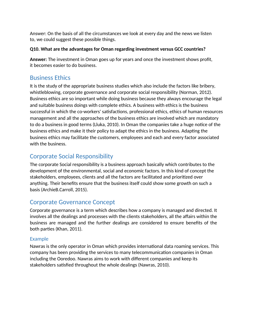<span id="page-9-0"></span>Answer: On the basis of all the circumstances we look at every day and the news we listen to, we could suggest these possible things.

#### **Q10. What are the advantages for Oman regarding investment versus GCC countries?**

**Answer:** The investment in Oman goes up for years and once the investment shows profit, it becomes easier to do business.

## Business Ethics

It is the study of the appropriate business studies which also include the factors like bribery, whistleblowing, corporate governance and corporate social responsibility (Norman, 2012). Business ethics are so important while doing business because they always encourage the legal and suitable business doings with complete ethics. A business with ethics is the business successful in which the co-workers' satisfactions, professional ethics, ethics of human resources management and all the approaches of the business ethics are involved which are mandatory to do a business in good terms (Lluka, 2010). In Oman the companies take a huge notice of the business ethics and make it their policy to adapt the ethics in the business. Adapting the business ethics may facilitate the customers, employees and each and every factor associated with the business.

## Corporate Social Responsibility

The corporate Social responsibility is a business approach basically which contributes to the development of the environmental, social and economic factors. In this kind of concept the stakeholders, employees, clients and all the factors are facilitated and prioritized over anything. Their benefits ensure that the business itself could show some growth on such a basis (ArchieB.Carroll, 2015).

## Corporate Governance Concept

Corporate governance is a term which describes how a company is managed and directed. It involves all the dealings and processes with the clients stakeholders, all the affairs within the business are managed and the further dealings are considered to ensure benefits of the both parties (Khan, 2011).

#### Example

Nawras is the only operator in Oman which provides international data roaming services. This company has been providing the services to many telecommunication companies in Oman including the Ooredoo. Nawras aims to work with different companies and keep its stakeholders satisfied throughout the whole dealings (Nawras, 2010).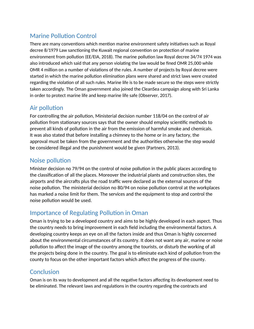## <span id="page-10-0"></span>Marine Pollution Control

There are many conventions which mention marine environment safety initiatives such as Royal decree 8/1979 Law sanctioning the Kuwait regional convention on protection of marine environment from pollution (EE/EIA, 2018). The marine pollution law Royal decree 34/74 1974 was also introduced which said that any person violating the law would be fined OMR 25,000 while OMR 4 million on a number of violations of the rules. A number of projects by Royal decree were started in which the marine pollution elimination plans were shared and strict laws were created regarding the violation of all such rules. Marine life is to be made secure so the steps were strictly taken accordingly. The Oman government also joined the CleanSea campaign along with Sri Lanka in order to protect marine life and keep marine life safe (Observer, 2017).

## Air pollution

For controlling the air pollution, Ministerial decision number 118/04 on the control of air pollution from stationary sources says that the owner should employ scientific methods to prevent all kinds of pollution in the air from the emission of harmful smoke and chemicals. It was also stated that before installing a chimney to the home or in any factory, the approval must be taken from the government and the authorities otherwise the step would be considered illegal and the punishment would be given (Partners, 2013).

## Noise pollution

Minister decision no 79/94 on the control of noise pollution in the public places according to the classification of all the places. Moreover the industrial plants and construction sites, the airports and the aircrafts plus the road traffic were declared as the external sources of the noise pollution. The ministerial decision no 80/94 on noise pollution control at the workplaces has marked a noise limit for them. The services and the equipment to stop and control the noise pollution would be used.

## Importance of Regulating Pollution in Oman

Oman is trying to be a developed country and aims to be highly developed in each aspect. Thus the country needs to bring improvement in each field including the environmental factors. A developing country keeps an eye on all the factors inside and thus Oman is highly concerned about the environmental circumstances of its country. It does not want any air, marine or noise pollution to affect the image of the country among the tourists, or disturb the working of all the projects being done in the country. The goal is to eliminate each kind of pollution from the county to focus on the other important factors which affect the progress of the county.

## **Conclusion**

Oman is on its way to development and all the negative factors affecting its development need to be eliminated. The relevant laws and regulations in the country regarding the contracts and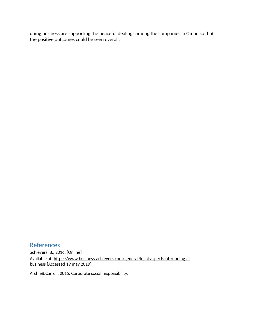<span id="page-11-0"></span>doing business are supporting the peaceful dealings among the companies in Oman so that the positive outcomes could be seen overall.

#### References achievers, B., 2016. [Online] Available at: https://www.business-achievers.com/general/legal-aspects-of-running-abusiness [Accessed 19 may 2019].

ArchieB.Carroll, 2015. Corporate social responsibility.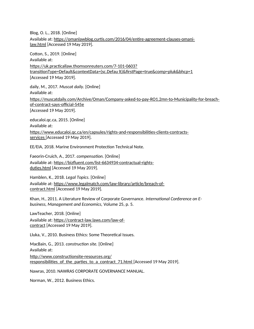Blog, O. L., 2018. [Online] Available at: https://omanlawblog.curtis.com/2016/04/entire-agreement-clauses-omanilaw.html [Accessed 19 May 2019].

Cotton, S., 2019. [Online] Available at: https://uk.practicallaw.thomsonreuters.com/7-101-0603? transitionType=Default&contextData=(sc.Defau lt)&firstPage=true&comp=pluk&bhcp=1 [Accessed 19 May 2019].

daily, M., 2017. *Muscat daily.* [Online] Available at: https://muscatdaily.com/Archive/Oman/Company-asked-to-pay-RO1.2mn-to-Municipality-for-breachof-contract-says-official-545e [Accessed 19 May 2019].

educaloi.qc.ca, 2015. [Online] Available at: https://www.educaloi.qc.ca/en/capsules/rights-and-responsibilities-clients-contractsservices [Accessed 19 May 2019].

EE/EIA, 2018. Marine Environment Protection Technical Note.

Faeorin-Cruich, A., 2017. *compensation.* [Online] Available at: https://bizfluent.com/list-6634934-contractual-rightsduties.html [Accessed 19 May 2019].

Hamblen, K., 2018. *Legal Topics.* [Online] Available at: https://www.legalmatch.com/law-library/article/breach-ofcontract.html [Accessed 19 May 2019].

Khan, H., 2011. A Literature Review of Corporate Governance. *International Conference on Ebusiness, Management and Economics,* Volume 25, p. 5.

LawTeacher, 2018. [Online] Available at: https://contract-law.laws.com/law-ofcontract [Accessed 19 May 2019].

Lluka, V., 2010. Business Ethics: Some Theoretical Issues.

MacBain, G., 2013. *construction site.* [Online] Available at: http://www.constructionsite-resources.org/ responsibilities of the parties to a contract 71.html [Accessed 19 May 2019].

Nawras, 2010. NAWRAS CORPORATE GOVERNANCE MANUAL.

Norman, W., 2012. Business Ethics.